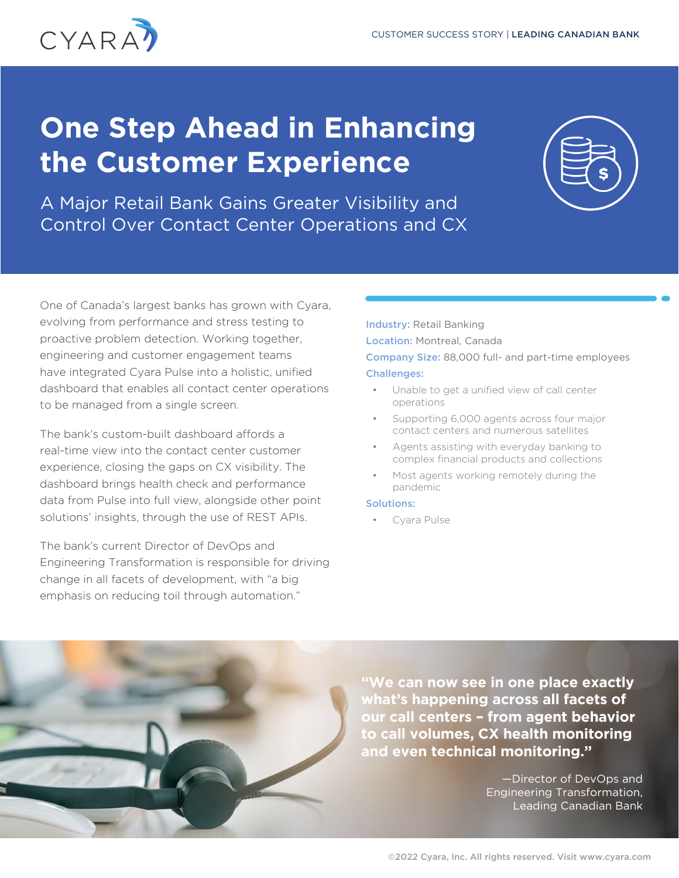

# **One Step Ahead in Enhancing the Customer Experience**



A Major Retail Bank Gains Greater Visibility and Control Over Contact Center Operations and CX

One of Canada's largest banks has grown with Cyara, evolving from performance and stress testing to proactive problem detection. Working together, engineering and customer engagement teams have integrated Cyara Pulse into a holistic, unified dashboard that enables all contact center operations to be managed from a single screen.

The bank's custom-built dashboard affords a real-time view into the contact center customer experience, closing the gaps on CX visibility. The dashboard brings health check and performance data from Pulse into full view, alongside other point solutions' insights, through the use of REST APIs.

The bank's current Director of DevOps and Engineering Transformation is responsible for driving change in all facets of development, with "a big emphasis on reducing toil through automation."

Industry: Retail Banking Location: Montreal, Canada Company Size: 88,000 full- and part-time employees Challenges:

- Unable to get a unified view of call center operations
- Supporting 6,000 agents across four major contact centers and numerous satellites
- Agents assisting with everyday banking to complex financial products and collections
- Most agents working remotely during the pandemic

#### Solutions:

• Cyara Pulse



**"We can now see in one place exactly what's happening across all facets of our call centers – from agent behavior to call volumes, CX health monitoring and even technical monitoring."** 

> —Director of DevOps and Engineering Transformation, Leading Canadian Bank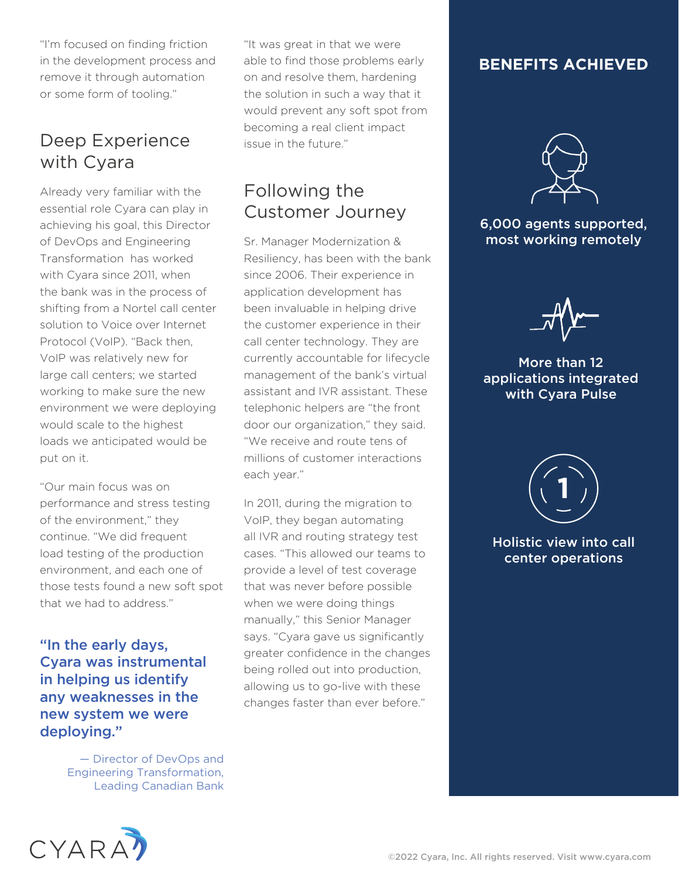"I'm focused on finding friction in the development process and remove it through automation or some form of tooling."

### Deep Experience with Cyara

Already very familiar with the essential role Cyara can play in achieving his goal, this Director of DevOps and Engineering Transformation has worked with Cyara since 2011, when the bank was in the process of shifting from a Nortel call center solution to Voice over Internet Protocol (VoIP). "Back then, VoIP was relatively new for large call centers; we started working to make sure the new environment we were deploying would scale to the highest loads we anticipated would be put on it.

"Our main focus was on performance and stress testing of the environment," they continue. "We did frequent load testing of the production environment, and each one of those tests found a new soft spot that we had to address."

"In the early days, Cyara was instrumental in helping us identify any weaknesses in the new system we were deploying."

> — Director of DevOps and Engineering Transformation, Leading Canadian Bank

"It was great in that we were able to find those problems early on and resolve them, hardening the solution in such a way that it would prevent any soft spot from becoming a real client impact issue in the future."

# Following the Customer Journey

Sr. Manager Modernization & Resiliency, has been with the bank since 2006. Their experience in application development has been invaluable in helping drive the customer experience in their call center technology. They are currently accountable for lifecycle management of the bank's virtual assistant and IVR assistant. These telephonic helpers are "the front door our organization," they said. "We receive and route tens of millions of customer interactions each year."

In 2011, during the migration to VoIP, they began automating all IVR and routing strategy test cases. "This allowed our teams to provide a level of test coverage that was never before possible when we were doing things manually," this Senior Manager says. "Cyara gave us significantly greater confidence in the changes being rolled out into production, allowing us to go-live with these changes faster than ever before."

#### **BENEFITS ACHIEVED**



#### 6,000 agents supported, most working remotely

More than 12 applications integrated with Cyara Pulse



Holistic view into call center operations

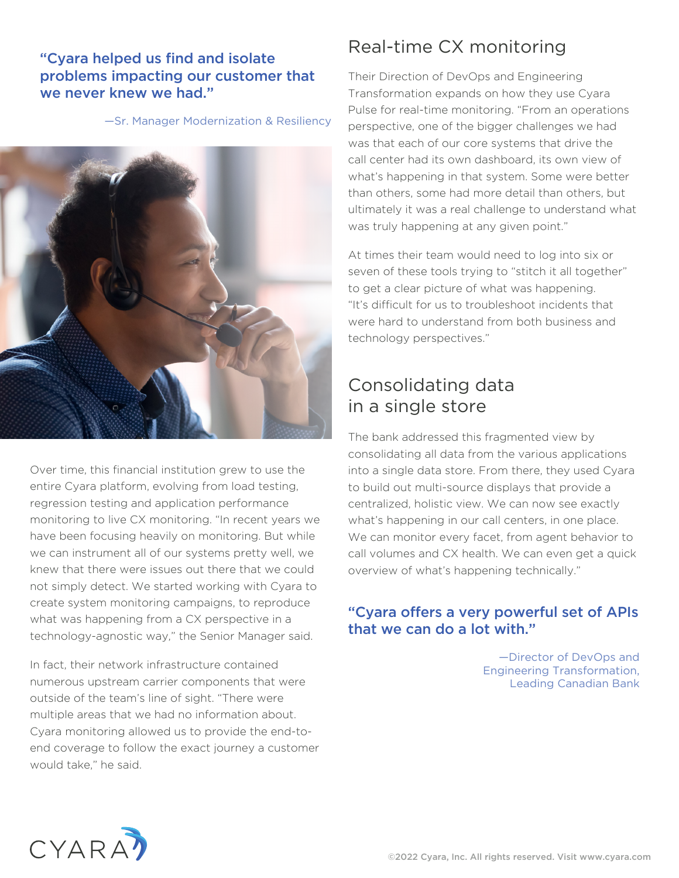#### "Cyara helped us find and isolate problems impacting our customer that we never knew we had."

—Sr. Manager Modernization & Resiliency



Over time, this financial institution grew to use the entire Cyara platform, evolving from load testing, regression testing and application performance monitoring to live CX monitoring. "In recent years we have been focusing heavily on monitoring. But while we can instrument all of our systems pretty well, we knew that there were issues out there that we could not simply detect. We started working with Cyara to create system monitoring campaigns, to reproduce what was happening from a CX perspective in a technology-agnostic way," the Senior Manager said.

In fact, their network infrastructure contained numerous upstream carrier components that were outside of the team's line of sight. "There were multiple areas that we had no information about. Cyara monitoring allowed us to provide the end-toend coverage to follow the exact journey a customer would take," he said.

## Real-time CX monitoring

Their Direction of DevOps and Engineering Transformation expands on how they use Cyara Pulse for real-time monitoring. "From an operations perspective, one of the bigger challenges we had was that each of our core systems that drive the call center had its own dashboard, its own view of what's happening in that system. Some were better than others, some had more detail than others, but ultimately it was a real challenge to understand what was truly happening at any given point."

At times their team would need to log into six or seven of these tools trying to "stitch it all together" to get a clear picture of what was happening. "It's difficult for us to troubleshoot incidents that were hard to understand from both business and technology perspectives."

### Consolidating data in a single store

The bank addressed this fragmented view by consolidating all data from the various applications into a single data store. From there, they used Cyara to build out multi-source displays that provide a centralized, holistic view. We can now see exactly what's happening in our call centers, in one place. We can monitor every facet, from agent behavior to call volumes and CX health. We can even get a quick overview of what's happening technically."

#### "Cyara offers a very powerful set of APIs that we can do a lot with."

—Director of DevOps and Engineering Transformation, Leading Canadian Bank